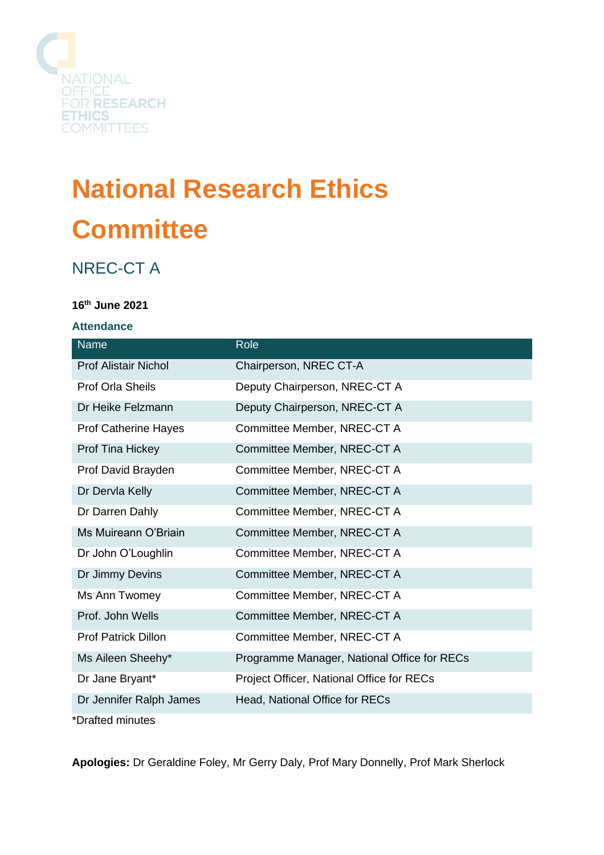

# **National Research Ethics Committee**

# NREC-CT A

## **16th June 2021**

#### **Attendance**

| <b>Name</b>                 | Role                                        |
|-----------------------------|---------------------------------------------|
| <b>Prof Alistair Nichol</b> | Chairperson, NREC CT-A                      |
| <b>Prof Orla Sheils</b>     | Deputy Chairperson, NREC-CT A               |
| Dr Heike Felzmann           | Deputy Chairperson, NREC-CT A               |
| <b>Prof Catherine Hayes</b> | Committee Member, NREC-CT A                 |
| Prof Tina Hickey            | Committee Member, NREC-CT A                 |
| Prof David Brayden          | Committee Member, NREC-CT A                 |
| Dr Dervla Kelly             | Committee Member, NREC-CT A                 |
| Dr Darren Dahly             | Committee Member, NREC-CT A                 |
| Ms Muireann O'Briain        | Committee Member, NREC-CT A                 |
| Dr John O'Loughlin          | Committee Member, NREC-CT A                 |
| Dr Jimmy Devins             | Committee Member, NREC-CT A                 |
| Ms Ann Twomey               | Committee Member, NREC-CT A                 |
| Prof. John Wells            | Committee Member, NREC-CT A                 |
| <b>Prof Patrick Dillon</b>  | Committee Member, NREC-CT A                 |
| Ms Aileen Sheehy*           | Programme Manager, National Office for RECs |
| Dr Jane Bryant*             | Project Officer, National Office for RECs   |
| Dr Jennifer Ralph James     | Head, National Office for RECs              |
| *Drafted minutes            |                                             |

**Apologies:** Dr Geraldine Foley, Mr Gerry Daly, Prof Mary Donnelly, Prof Mark Sherlock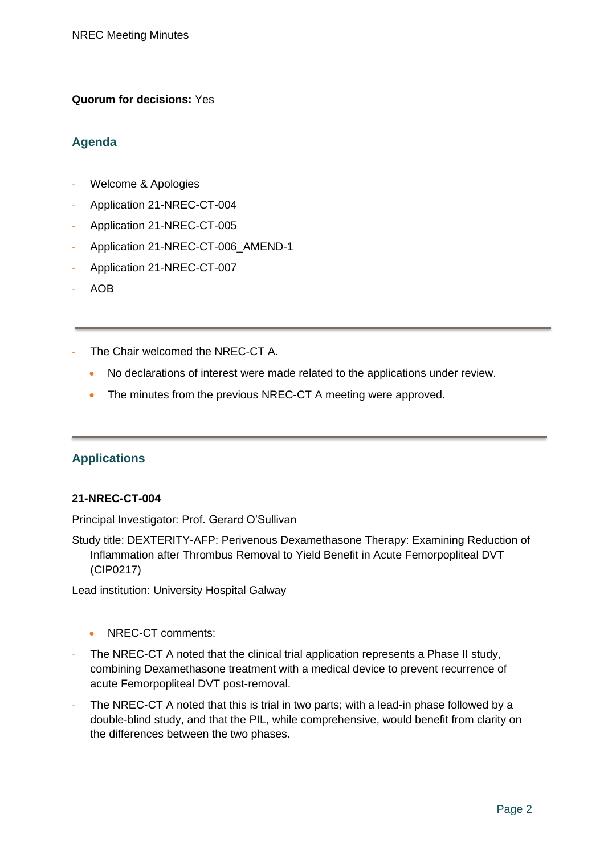#### **Quorum for decisions:** Yes

# **Agenda**

- Welcome & Apologies
- Application 21-NREC-CT-004
- Application 21-NREC-CT-005
- Application 21-NREC-CT-006\_AMEND-1
- Application 21-NREC-CT-007
- AOB
- The Chair welcomed the NREC-CT A.
	- No declarations of interest were made related to the applications under review.
	- The minutes from the previous NREC-CT A meeting were approved.

## **Applications**

#### **21-NREC-CT-004**

Principal Investigator: Prof. Gerard O'Sullivan

Study title: DEXTERITY-AFP: Perivenous Dexamethasone Therapy: Examining Reduction of Inflammation after Thrombus Removal to Yield Benefit in Acute Femorpopliteal DVT (CIP0217)

Lead institution: University Hospital Galway

- NREC-CT comments:
- The NREC-CT A noted that the clinical trial application represents a Phase II study, combining Dexamethasone treatment with a medical device to prevent recurrence of acute Femorpopliteal DVT post-removal.
- The NREC-CT A noted that this is trial in two parts; with a lead-in phase followed by a double-blind study, and that the PIL, while comprehensive, would benefit from clarity on the differences between the two phases.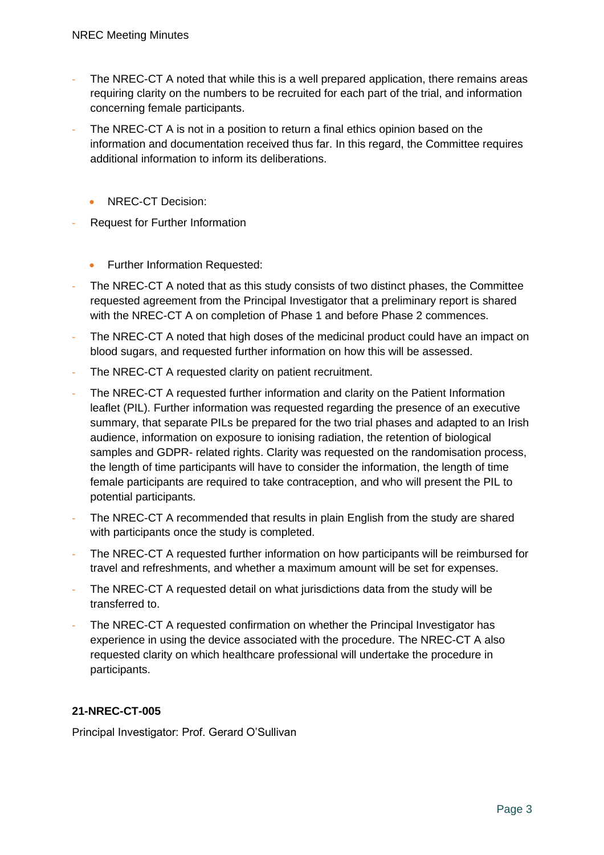- The NREC-CT A noted that while this is a well prepared application, there remains areas requiring clarity on the numbers to be recruited for each part of the trial, and information concerning female participants.
- The NREC-CT A is not in a position to return a final ethics opinion based on the information and documentation received thus far. In this regard, the Committee requires additional information to inform its deliberations.
	- NREC-CT Decision:
- Request for Further Information
	- Further Information Requested:
- The NREC-CT A noted that as this study consists of two distinct phases, the Committee requested agreement from the Principal Investigator that a preliminary report is shared with the NREC-CT A on completion of Phase 1 and before Phase 2 commences.
- The NREC-CT A noted that high doses of the medicinal product could have an impact on blood sugars, and requested further information on how this will be assessed.
- The NREC-CT A requested clarity on patient recruitment.
- The NREC-CT A requested further information and clarity on the Patient Information leaflet (PIL). Further information was requested regarding the presence of an executive summary, that separate PILs be prepared for the two trial phases and adapted to an Irish audience, information on exposure to ionising radiation, the retention of biological samples and GDPR- related rights. Clarity was requested on the randomisation process, the length of time participants will have to consider the information, the length of time female participants are required to take contraception, and who will present the PIL to potential participants.
- The NREC-CT A recommended that results in plain English from the study are shared with participants once the study is completed.
- The NREC-CT A requested further information on how participants will be reimbursed for travel and refreshments, and whether a maximum amount will be set for expenses.
- The NREC-CT A requested detail on what jurisdictions data from the study will be transferred to.
- The NREC-CT A requested confirmation on whether the Principal Investigator has experience in using the device associated with the procedure. The NREC-CT A also requested clarity on which healthcare professional will undertake the procedure in participants.

# **21-NREC-CT-005**

Principal Investigator: Prof. Gerard O'Sullivan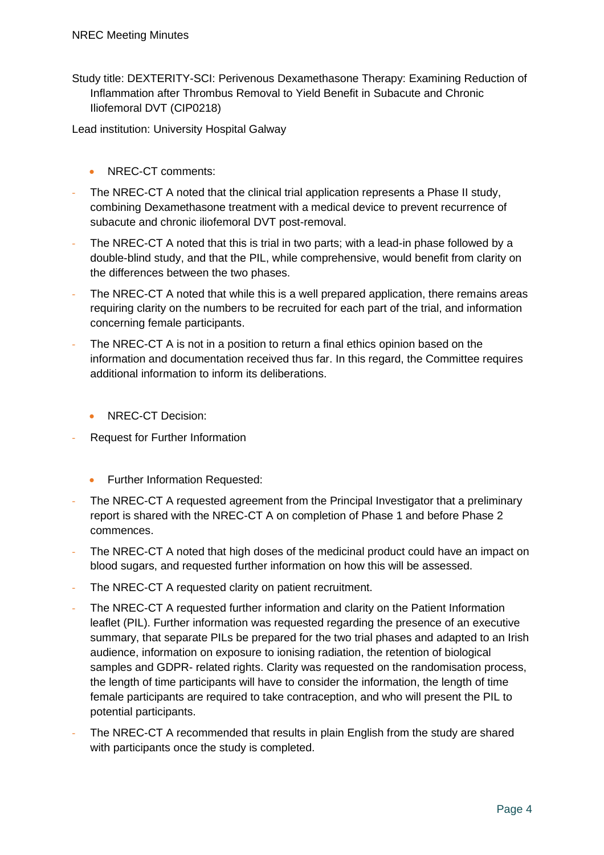Study title: DEXTERITY-SCI: Perivenous Dexamethasone Therapy: Examining Reduction of Inflammation after Thrombus Removal to Yield Benefit in Subacute and Chronic Iliofemoral DVT (CIP0218)

Lead institution: University Hospital Galway

- NREC-CT comments:
- The NREC-CT A noted that the clinical trial application represents a Phase II study, combining Dexamethasone treatment with a medical device to prevent recurrence of subacute and chronic iliofemoral DVT post-removal.
- The NREC-CT A noted that this is trial in two parts; with a lead-in phase followed by a double-blind study, and that the PIL, while comprehensive, would benefit from clarity on the differences between the two phases.
- The NREC-CT A noted that while this is a well prepared application, there remains areas requiring clarity on the numbers to be recruited for each part of the trial, and information concerning female participants.
- The NREC-CT A is not in a position to return a final ethics opinion based on the information and documentation received thus far. In this regard, the Committee requires additional information to inform its deliberations.
	- NREC-CT Decision:
- Request for Further Information
	- Further Information Requested:
- The NREC-CT A requested agreement from the Principal Investigator that a preliminary report is shared with the NREC-CT A on completion of Phase 1 and before Phase 2 commences.
- The NREC-CT A noted that high doses of the medicinal product could have an impact on blood sugars, and requested further information on how this will be assessed.
- The NREC-CT A requested clarity on patient recruitment.
- The NREC-CT A requested further information and clarity on the Patient Information leaflet (PIL). Further information was requested regarding the presence of an executive summary, that separate PILs be prepared for the two trial phases and adapted to an Irish audience, information on exposure to ionising radiation, the retention of biological samples and GDPR- related rights. Clarity was requested on the randomisation process, the length of time participants will have to consider the information, the length of time female participants are required to take contraception, and who will present the PIL to potential participants.
- The NREC-CT A recommended that results in plain English from the study are shared with participants once the study is completed.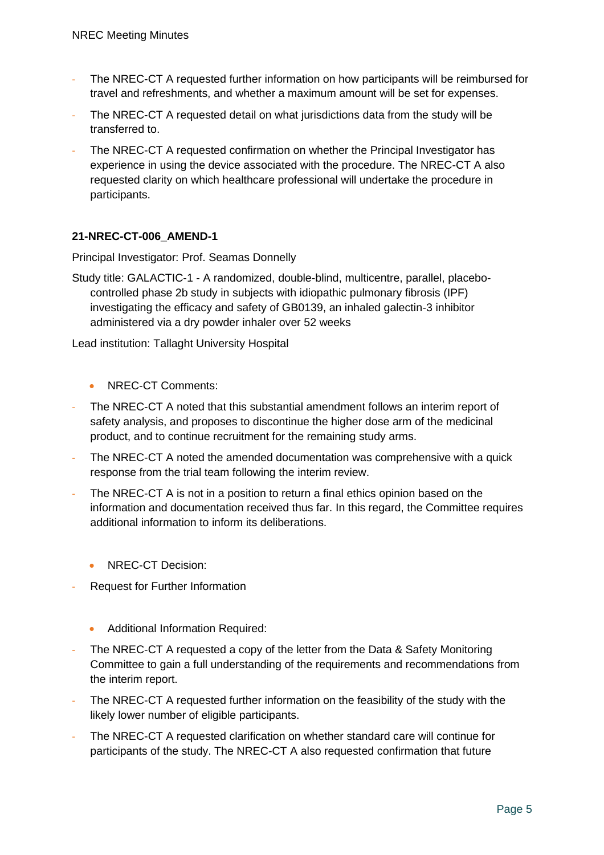- The NREC-CT A requested further information on how participants will be reimbursed for travel and refreshments, and whether a maximum amount will be set for expenses.
- The NREC-CT A requested detail on what jurisdictions data from the study will be transferred to.
- The NREC-CT A requested confirmation on whether the Principal Investigator has experience in using the device associated with the procedure. The NREC-CT A also requested clarity on which healthcare professional will undertake the procedure in participants.

#### **21-NREC-CT-006\_AMEND-1**

Principal Investigator: Prof. Seamas Donnelly

Study title: GALACTIC-1 - A randomized, double-blind, multicentre, parallel, placebocontrolled phase 2b study in subjects with idiopathic pulmonary fibrosis (IPF) investigating the efficacy and safety of GB0139, an inhaled galectin-3 inhibitor administered via a dry powder inhaler over 52 weeks

Lead institution: Tallaght University Hospital

- NREC-CT Comments:
- The NREC-CT A noted that this substantial amendment follows an interim report of safety analysis, and proposes to discontinue the higher dose arm of the medicinal product, and to continue recruitment for the remaining study arms.
- The NREC-CT A noted the amended documentation was comprehensive with a quick response from the trial team following the interim review.
- The NREC-CT A is not in a position to return a final ethics opinion based on the information and documentation received thus far. In this regard, the Committee requires additional information to inform its deliberations.
	- NRFC-CT Decision:
- Request for Further Information
	- Additional Information Required:
- The NREC-CT A requested a copy of the letter from the Data & Safety Monitoring Committee to gain a full understanding of the requirements and recommendations from the interim report.
- The NREC-CT A requested further information on the feasibility of the study with the likely lower number of eligible participants.
- The NREC-CT A requested clarification on whether standard care will continue for participants of the study. The NREC-CT A also requested confirmation that future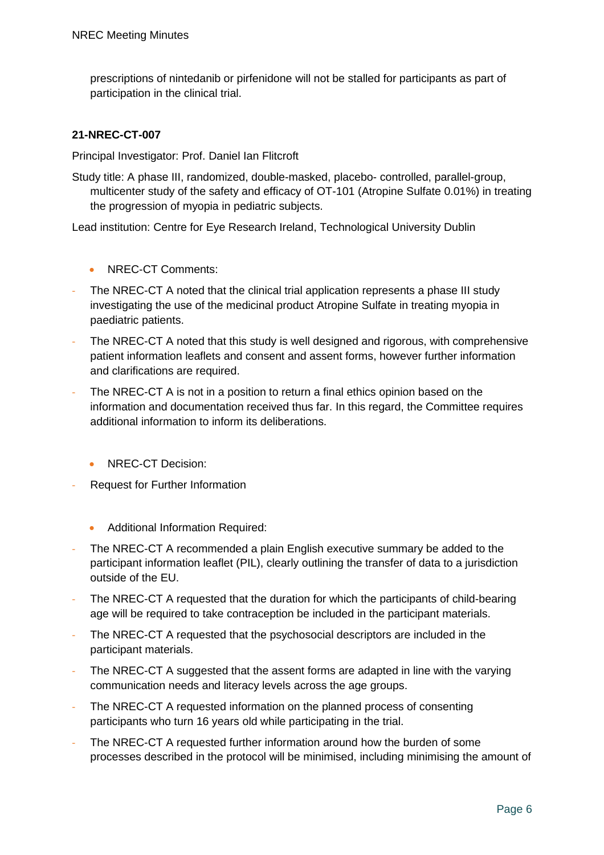prescriptions of nintedanib or pirfenidone will not be stalled for participants as part of participation in the clinical trial.

#### **21-NREC-CT-007**

Principal Investigator: Prof. Daniel Ian Flitcroft

Study title: A phase III, randomized, double-masked, placebo- controlled, parallel-group, multicenter study of the safety and efficacy of OT-101 (Atropine Sulfate 0.01%) in treating the progression of myopia in pediatric subjects.

Lead institution: Centre for Eye Research Ireland, Technological University Dublin

- NREC-CT Comments:
- The NREC-CT A noted that the clinical trial application represents a phase III study investigating the use of the medicinal product Atropine Sulfate in treating myopia in paediatric patients.
- The NREC-CT A noted that this study is well designed and rigorous, with comprehensive patient information leaflets and consent and assent forms, however further information and clarifications are required.
- The NREC-CT A is not in a position to return a final ethics opinion based on the information and documentation received thus far. In this regard, the Committee requires additional information to inform its deliberations.
	- NREC-CT Decision:
- Request for Further Information
	- Additional Information Required:
- The NREC-CT A recommended a plain English executive summary be added to the participant information leaflet (PIL), clearly outlining the transfer of data to a jurisdiction outside of the EU.
- The NREC-CT A requested that the duration for which the participants of child-bearing age will be required to take contraception be included in the participant materials.
- The NREC-CT A requested that the psychosocial descriptors are included in the participant materials.
- The NREC-CT A suggested that the assent forms are adapted in line with the varying communication needs and literacy levels across the age groups.
- The NREC-CT A requested information on the planned process of consenting participants who turn 16 years old while participating in the trial.
- The NREC-CT A requested further information around how the burden of some processes described in the protocol will be minimised, including minimising the amount of